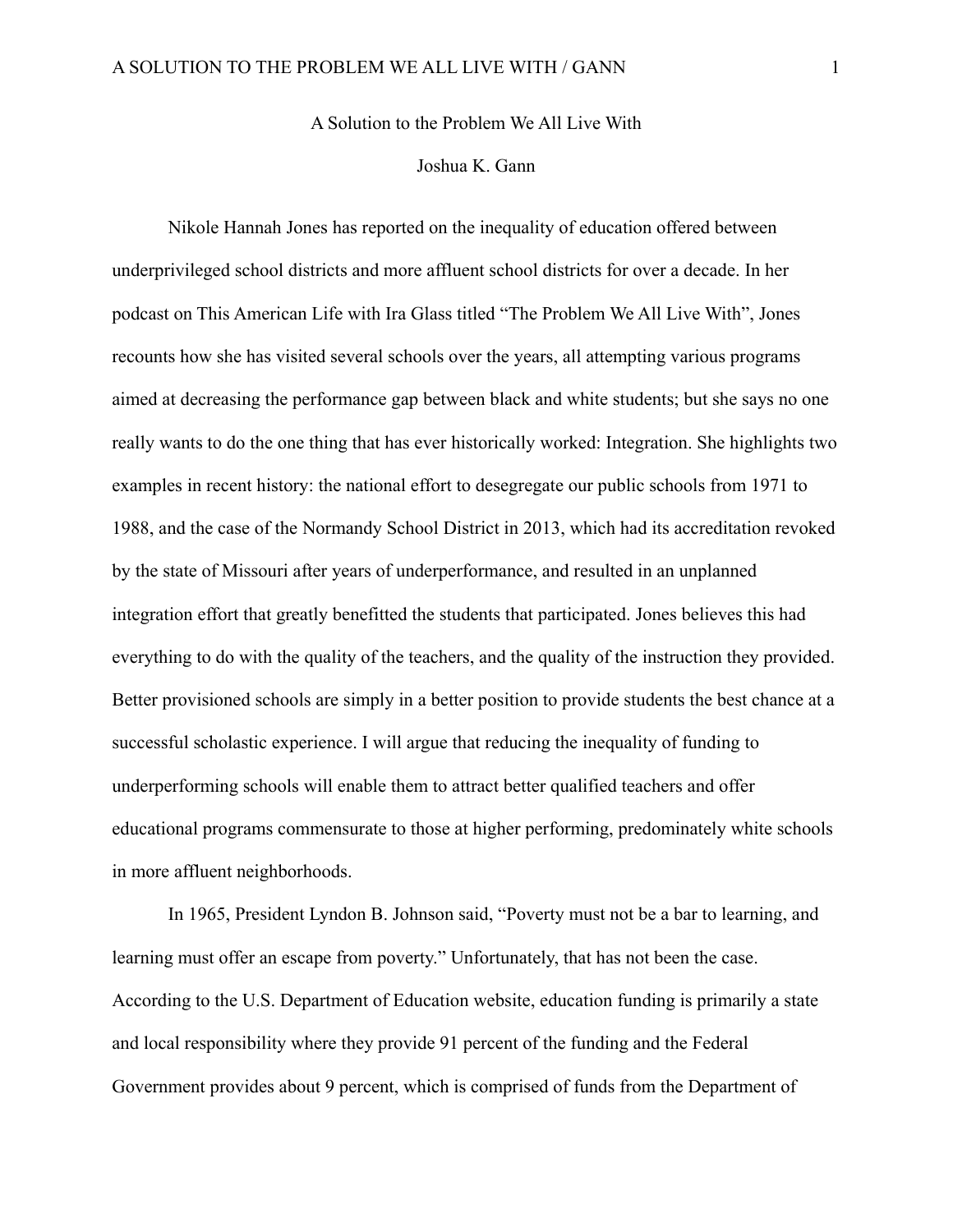A Solution to the Problem We All Live With

## Joshua K. Gann

Nikole Hannah Jones has reported on the inequality of education offered between underprivileged school districts and more affluent school districts for over a decade. In her podcast on This American Life with Ira Glass titled "The Problem We All Live With", Jones recounts how she has visited several schools over the years, all attempting various programs aimed at decreasing the performance gap between black and white students; but she says no one really wants to do the one thing that has ever historically worked: Integration. She highlights two examples in recent history: the national effort to desegregate our public schools from 1971 to 1988, and the case of the Normandy School District in 2013, which had its accreditation revoked by the state of Missouri after years of underperformance, and resulted in an unplanned integration effort that greatly benefitted the students that participated. Jones believes this had everything to do with the quality of the teachers, and the quality of the instruction they provided. Better provisioned schools are simply in a better position to provide students the best chance at a successful scholastic experience. I will argue that reducing the inequality of funding to underperforming schools will enable them to attract better qualified teachers and offer educational programs commensurate to those at higher performing, predominately white schools in more affluent neighborhoods.

In 1965, President Lyndon B. Johnson said, "Poverty must not be a bar to learning, and learning must offer an escape from poverty." Unfortunately, that has not been the case. According to the U.S. Department of Education website, education funding is primarily a state and local responsibility where they provide 91 percent of the funding and the Federal Government provides about 9 percent, which is comprised of funds from the Department of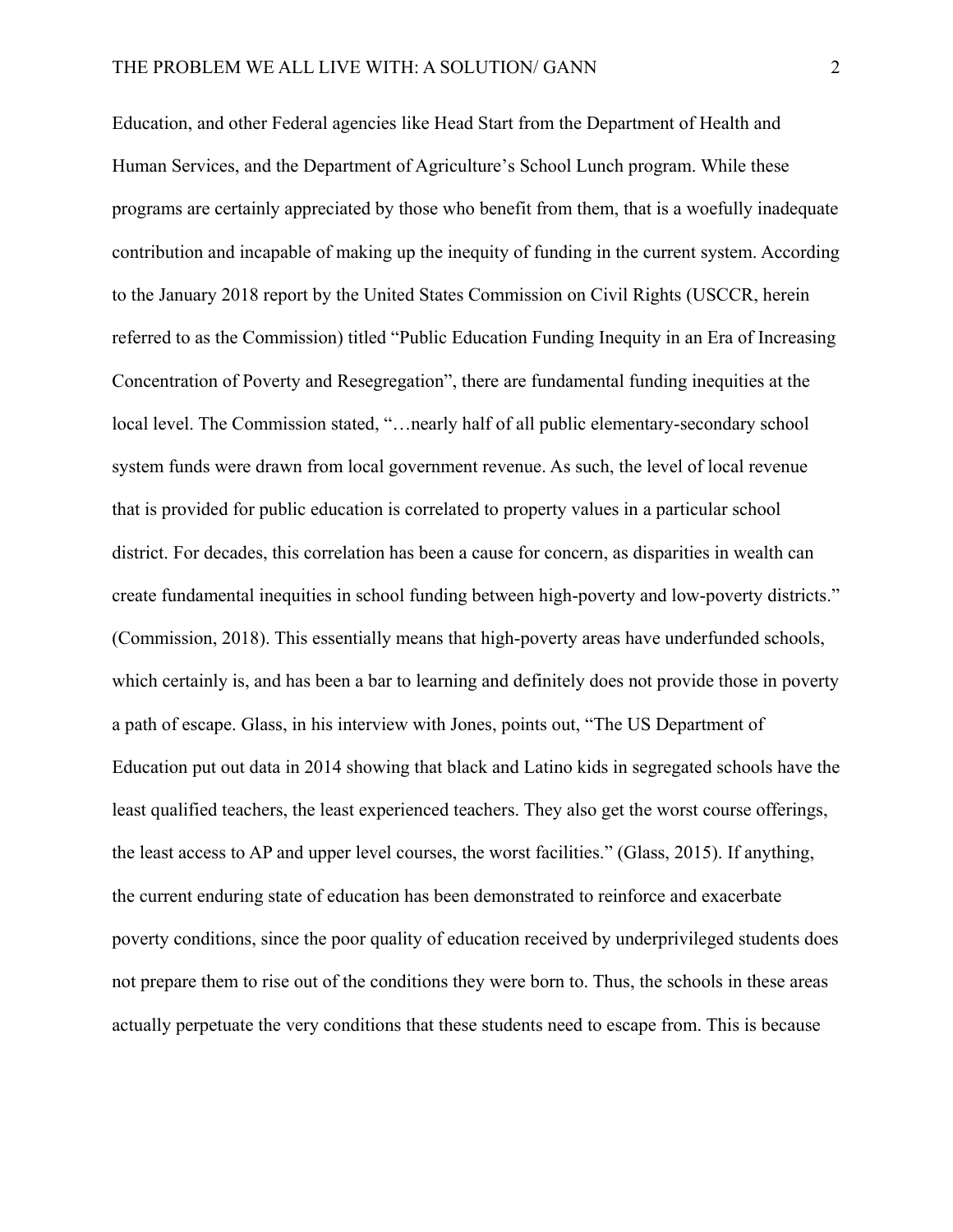Education, and other Federal agencies like Head Start from the Department of Health and Human Services, and the Department of Agriculture's School Lunch program. While these programs are certainly appreciated by those who benefit from them, that is a woefully inadequate contribution and incapable of making up the inequity of funding in the current system. According to the January 2018 report by the United States Commission on Civil Rights (USCCR, herein referred to as the Commission) titled "Public Education Funding Inequity in an Era of Increasing Concentration of Poverty and Resegregation", there are fundamental funding inequities at the local level. The Commission stated, "…nearly half of all public elementary-secondary school system funds were drawn from local government revenue. As such, the level of local revenue that is provided for public education is correlated to property values in a particular school district. For decades, this correlation has been a cause for concern, as disparities in wealth can create fundamental inequities in school funding between high-poverty and low-poverty districts." (Commission, 2018). This essentially means that high-poverty areas have underfunded schools, which certainly is, and has been a bar to learning and definitely does not provide those in poverty a path of escape. Glass, in his interview with Jones, points out, "The US Department of Education put out data in 2014 showing that black and Latino kids in segregated schools have the least qualified teachers, the least experienced teachers. They also get the worst course offerings, the least access to AP and upper level courses, the worst facilities." (Glass, 2015). If anything, the current enduring state of education has been demonstrated to reinforce and exacerbate poverty conditions, since the poor quality of education received by underprivileged students does not prepare them to rise out of the conditions they were born to. Thus, the schools in these areas actually perpetuate the very conditions that these students need to escape from. This is because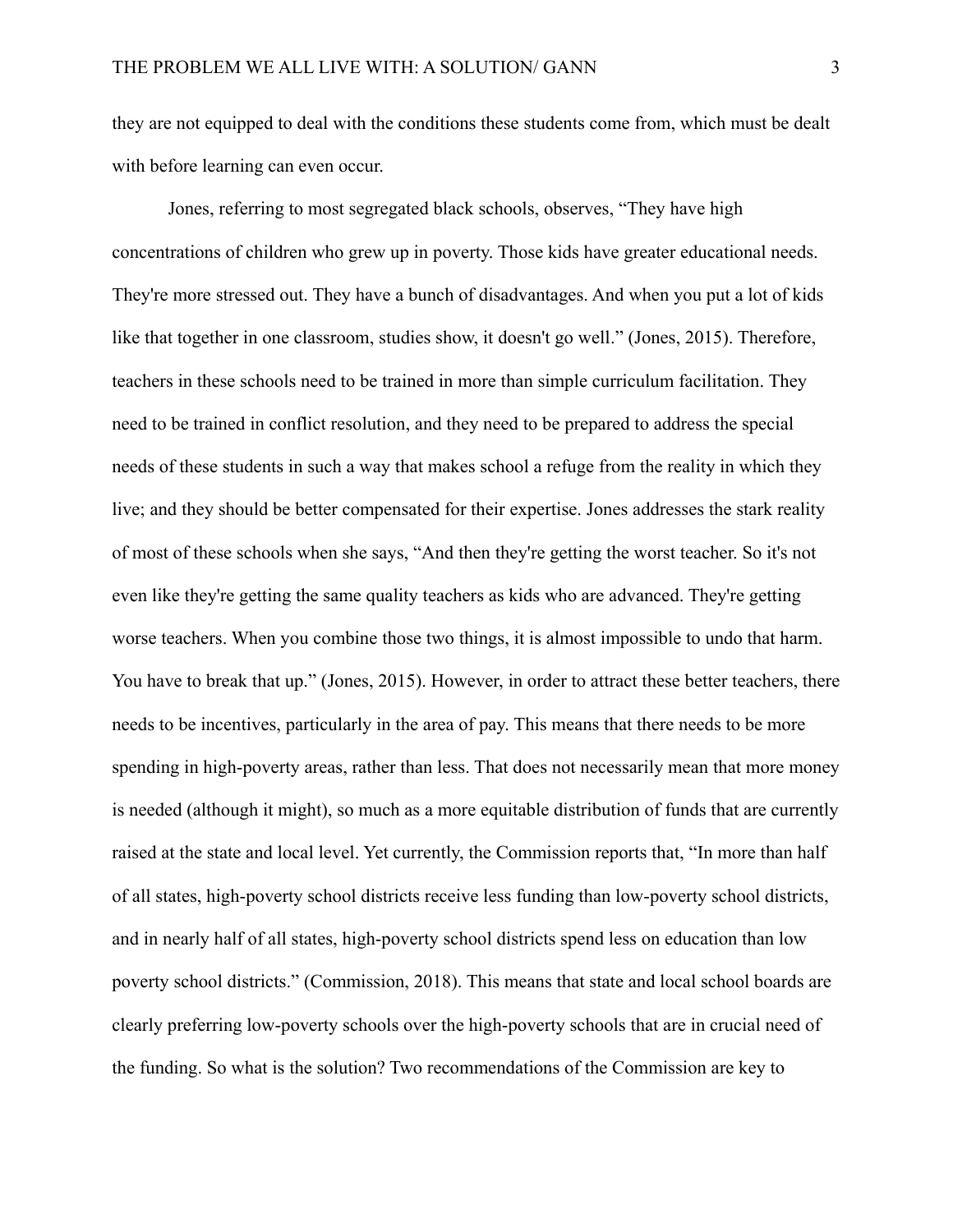they are not equipped to deal with the conditions these students come from, which must be dealt with before learning can even occur.

Jones, referring to most segregated black schools, observes, "They have high concentrations of children who grew up in poverty. Those kids have greater educational needs. They're more stressed out. They have a bunch of disadvantages. And when you put a lot of kids like that together in one classroom, studies show, it doesn't go well." (Jones, 2015). Therefore, teachers in these schools need to be trained in more than simple curriculum facilitation. They need to be trained in conflict resolution, and they need to be prepared to address the special needs of these students in such a way that makes school a refuge from the reality in which they live; and they should be better compensated for their expertise. Jones addresses the stark reality of most of these schools when she says, "And then they're getting the worst teacher. So it's not even like they're getting the same quality teachers as kids who are advanced. They're getting worse teachers. When you combine those two things, it is almost impossible to undo that harm. You have to break that up." (Jones, 2015). However, in order to attract these better teachers, there needs to be incentives, particularly in the area of pay. This means that there needs to be more spending in high-poverty areas, rather than less. That does not necessarily mean that more money is needed (although it might), so much as a more equitable distribution of funds that are currently raised at the state and local level. Yet currently, the Commission reports that, "In more than half of all states, high-poverty school districts receive less funding than low-poverty school districts, and in nearly half of all states, high-poverty school districts spend less on education than low poverty school districts." (Commission, 2018). This means that state and local school boards are clearly preferring low-poverty schools over the high-poverty schools that are in crucial need of the funding. So what is the solution? Two recommendations of the Commission are key to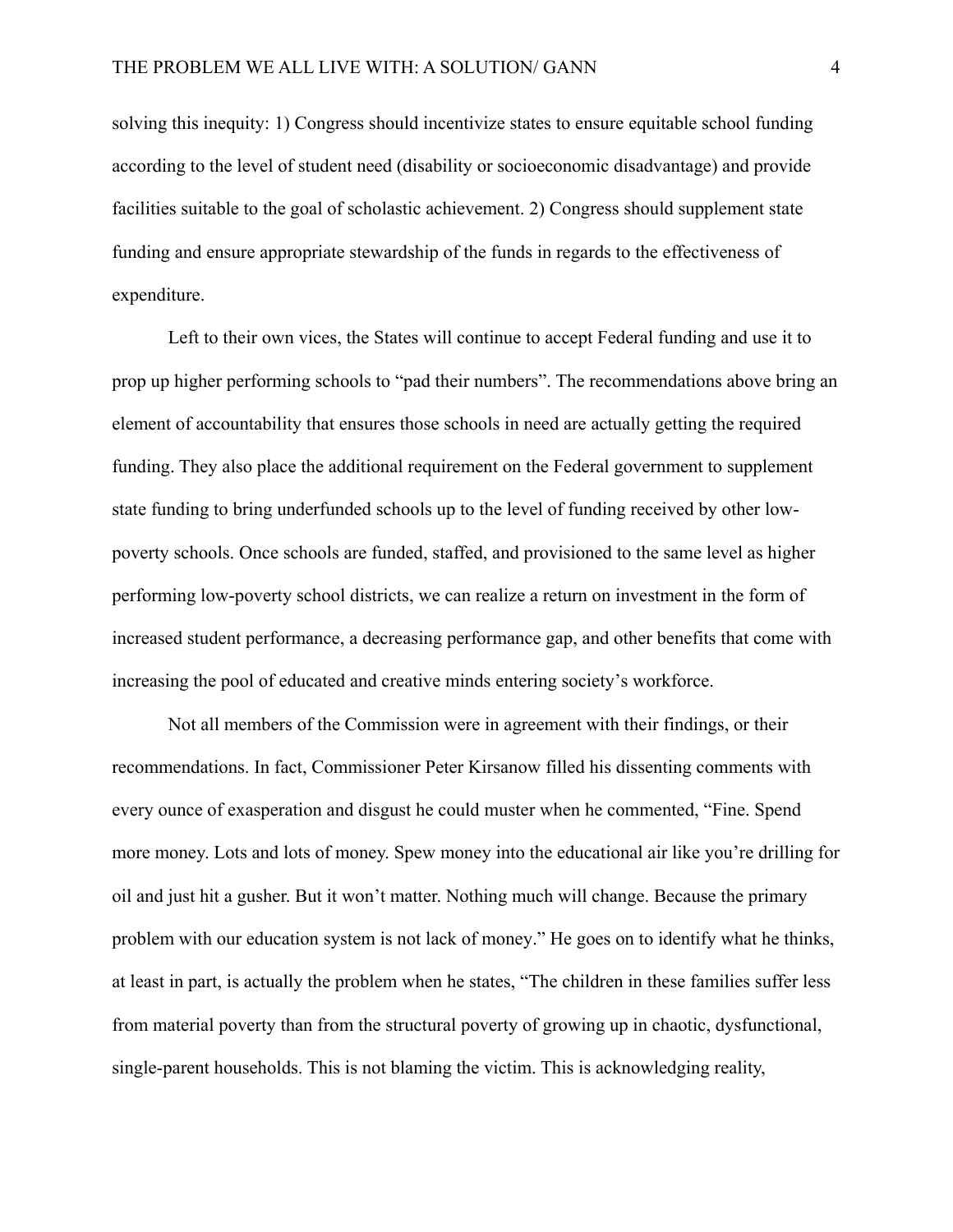solving this inequity: 1) Congress should incentivize states to ensure equitable school funding according to the level of student need (disability or socioeconomic disadvantage) and provide facilities suitable to the goal of scholastic achievement. 2) Congress should supplement state funding and ensure appropriate stewardship of the funds in regards to the effectiveness of expenditure.

Left to their own vices, the States will continue to accept Federal funding and use it to prop up higher performing schools to "pad their numbers". The recommendations above bring an element of accountability that ensures those schools in need are actually getting the required funding. They also place the additional requirement on the Federal government to supplement state funding to bring underfunded schools up to the level of funding received by other lowpoverty schools. Once schools are funded, staffed, and provisioned to the same level as higher performing low-poverty school districts, we can realize a return on investment in the form of increased student performance, a decreasing performance gap, and other benefits that come with increasing the pool of educated and creative minds entering society's workforce.

Not all members of the Commission were in agreement with their findings, or their recommendations. In fact, Commissioner Peter Kirsanow filled his dissenting comments with every ounce of exasperation and disgust he could muster when he commented, "Fine. Spend more money. Lots and lots of money. Spew money into the educational air like you're drilling for oil and just hit a gusher. But it won't matter. Nothing much will change. Because the primary problem with our education system is not lack of money." He goes on to identify what he thinks, at least in part, is actually the problem when he states, "The children in these families suffer less from material poverty than from the structural poverty of growing up in chaotic, dysfunctional, single-parent households. This is not blaming the victim. This is acknowledging reality,